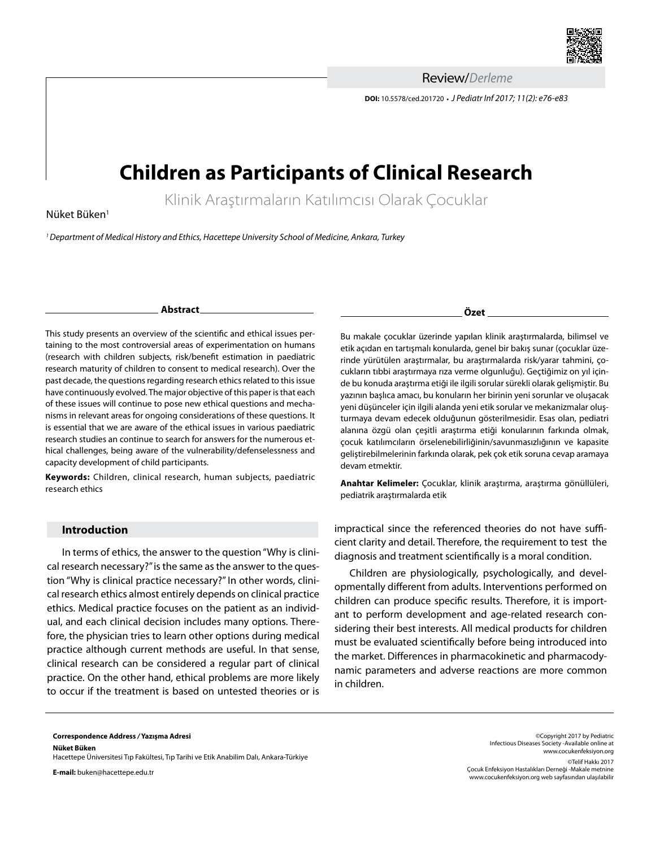

Review/*Derleme*

**DOI:** 10.5578/ced.201720 **•** *J Pediatr Inf 2017; 11(2): e76-e83*

# **Children as Participants of Clinical Research**

Klinik Araştırmaların Katılımcısı Olarak Çocuklar

Nüket Büken1

*1 Department of Medical History and Ethics, Hacettepe University School of Medicine, Ankara, Turkey*

**Abstract**

This study presents an overview of the scientific and ethical issues pertaining to the most controversial areas of experimentation on humans (research with children subjects, risk/benefit estimation in paediatric research maturity of children to consent to medical research). Over the past decade, the questions regarding research ethics related to this issue have continuously evolved. The major objective of this paper is that each of these issues will continue to pose new ethical questions and mechanisms in relevant areas for ongoing considerations of these questions. It is essential that we are aware of the ethical issues in various paediatric research studies an continue to search for answers for the numerous ethical challenges, being aware of the vulnerability/defenselessness and capacity development of child participants.

**Keywords:** Children, clinical research, human subjects, paediatric research ethics

### **Introduction**

In terms of ethics, the answer to the question "Why is clinical research necessary?" is the same as the answer to the question "Why is clinical practice necessary?" In other words, clinical research ethics almost entirely depends on clinical practice ethics. Medical practice focuses on the patient as an individual, and each clinical decision includes many options. Therefore, the physician tries to learn other options during medical practice although current methods are useful. In that sense, clinical research can be considered a regular part of clinical practice. On the other hand, ethical problems are more likely to occur if the treatment is based on untested theories or is **Özet**

Bu makale çocuklar üzerinde yapılan klinik araştırmalarda, bilimsel ve etik açıdan en tartışmalı konularda, genel bir bakış sunar (çocuklar üzerinde yürütülen araştırmalar, bu araştırmalarda risk/yarar tahmini, çocukların tıbbi araştırmaya rıza verme olgunluğu). Geçtiğimiz on yıl içinde bu konuda araştırma etiği ile ilgili sorular sürekli olarak gelişmiştir. Bu yazının başlıca amacı, bu konuların her birinin yeni sorunlar ve oluşacak yeni düşünceler için ilgili alanda yeni etik sorular ve mekanizmalar oluşturmaya devam edecek olduğunun gösterilmesidir. Esas olan, pediatri alanına özgü olan çeşitli araştırma etiği konularının farkında olmak, çocuk katılımcıların örselenebilirliğinin/savunmasızlığının ve kapasite geliştirebilmelerinin farkında olarak, pek çok etik soruna cevap aramaya devam etmektir.

**Anahtar Kelimeler:** Çocuklar, klinik araştırma, araştırma gönüllüleri, pediatrik araştırmalarda etik

impractical since the referenced theories do not have sufficient clarity and detail. Therefore, the requirement to test the diagnosis and treatment scientifically is a moral condition.

Children are physiologically, psychologically, and developmentally different from adults. Interventions performed on children can produce specific results. Therefore, it is important to perform development and age-related research considering their best interests. All medical products for children must be evaluated scientifically before being introduced into the market. Differences in pharmacokinetic and pharmacodynamic parameters and adverse reactions are more common in children.

**Correspondence Address** */* **Yazışma Adresi Nüket Büken** Hacettepe Üniversitesi Tıp Fakültesi, Tıp Tarihi ve Etik Anabilim Dalı, Ankara-Türkiye

**E-mail:** buken@hacettepe.edu.tr

©Copyright 2017 by Pediatric Infectious Diseases Society -Available online at www.cocukenfeksiyon.org ©Telif Hakkı 2017 Çocuk Enfeksiyon Hastalıkları Derneği -Makale metnine www.cocukenfeksiyon.org web sayfasından ulaşılabilir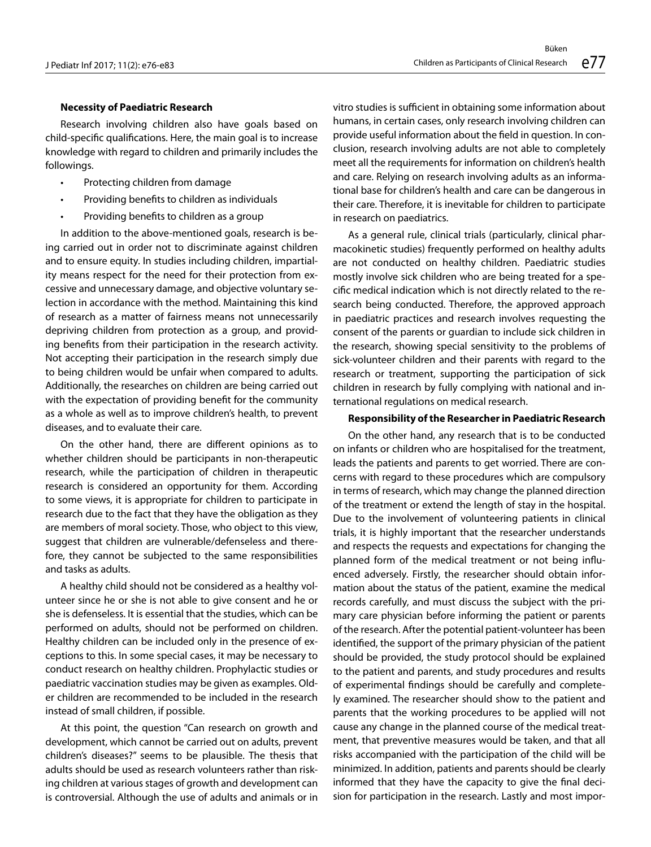#### **Necessity of Paediatric Research**

Research involving children also have goals based on child-specific qualifications. Here, the main goal is to increase knowledge with regard to children and primarily includes the followings.

- Protecting children from damage
- • Providing benefits to children as individuals
- Providing benefits to children as a group

In addition to the above-mentioned goals, research is being carried out in order not to discriminate against children and to ensure equity. In studies including children, impartiality means respect for the need for their protection from excessive and unnecessary damage, and objective voluntary selection in accordance with the method. Maintaining this kind of research as a matter of fairness means not unnecessarily depriving children from protection as a group, and providing benefits from their participation in the research activity. Not accepting their participation in the research simply due to being children would be unfair when compared to adults. Additionally, the researches on children are being carried out with the expectation of providing benefit for the community as a whole as well as to improve children's health, to prevent diseases, and to evaluate their care.

On the other hand, there are different opinions as to whether children should be participants in non-therapeutic research, while the participation of children in therapeutic research is considered an opportunity for them. According to some views, it is appropriate for children to participate in research due to the fact that they have the obligation as they are members of moral society. Those, who object to this view, suggest that children are vulnerable/defenseless and therefore, they cannot be subjected to the same responsibilities and tasks as adults.

A healthy child should not be considered as a healthy volunteer since he or she is not able to give consent and he or she is defenseless. It is essential that the studies, which can be performed on adults, should not be performed on children. Healthy children can be included only in the presence of exceptions to this. In some special cases, it may be necessary to conduct research on healthy children. Prophylactic studies or paediatric vaccination studies may be given as examples. Older children are recommended to be included in the research instead of small children, if possible.

At this point, the question "Can research on growth and development, which cannot be carried out on adults, prevent children's diseases?" seems to be plausible. The thesis that adults should be used as research volunteers rather than risking children at various stages of growth and development can is controversial. Although the use of adults and animals or in vitro studies is sufficient in obtaining some information about humans, in certain cases, only research involving children can provide useful information about the field in question. In conclusion, research involving adults are not able to completely meet all the requirements for information on children's health and care. Relying on research involving adults as an informational base for children's health and care can be dangerous in their care. Therefore, it is inevitable for children to participate in research on paediatrics.

As a general rule, clinical trials (particularly, clinical pharmacokinetic studies) frequently performed on healthy adults are not conducted on healthy children. Paediatric studies mostly involve sick children who are being treated for a specific medical indication which is not directly related to the research being conducted. Therefore, the approved approach in paediatric practices and research involves requesting the consent of the parents or guardian to include sick children in the research, showing special sensitivity to the problems of sick-volunteer children and their parents with regard to the research or treatment, supporting the participation of sick children in research by fully complying with national and international regulations on medical research.

## **Responsibility of the Researcher in Paediatric Research**

On the other hand, any research that is to be conducted on infants or children who are hospitalised for the treatment, leads the patients and parents to get worried. There are concerns with regard to these procedures which are compulsory in terms of research, which may change the planned direction of the treatment or extend the length of stay in the hospital. Due to the involvement of volunteering patients in clinical trials, it is highly important that the researcher understands and respects the requests and expectations for changing the planned form of the medical treatment or not being influenced adversely. Firstly, the researcher should obtain information about the status of the patient, examine the medical records carefully, and must discuss the subject with the primary care physician before informing the patient or parents of the research. After the potential patient-volunteer has been identified, the support of the primary physician of the patient should be provided, the study protocol should be explained to the patient and parents, and study procedures and results of experimental findings should be carefully and completely examined. The researcher should show to the patient and parents that the working procedures to be applied will not cause any change in the planned course of the medical treatment, that preventive measures would be taken, and that all risks accompanied with the participation of the child will be minimized. In addition, patients and parents should be clearly informed that they have the capacity to give the final decision for participation in the research. Lastly and most impor-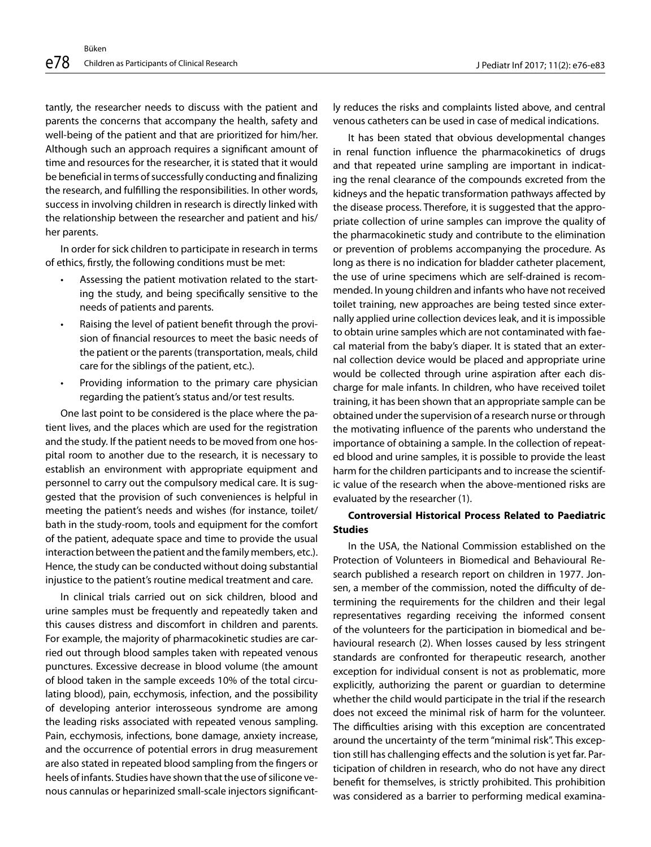tantly, the researcher needs to discuss with the patient and parents the concerns that accompany the health, safety and well-being of the patient and that are prioritized for him/her. Although such an approach requires a significant amount of time and resources for the researcher, it is stated that it would be beneficial in terms of successfully conducting and finalizing the research, and fulfilling the responsibilities. In other words, success in involving children in research is directly linked with the relationship between the researcher and patient and his/ her parents.

In order for sick children to participate in research in terms of ethics, firstly, the following conditions must be met:

- Assessing the patient motivation related to the starting the study, and being specifically sensitive to the needs of patients and parents.
- Raising the level of patient benefit through the provision of financial resources to meet the basic needs of the patient or the parents (transportation, meals, child care for the siblings of the patient, etc.).
- Providing information to the primary care physician regarding the patient's status and/or test results.

One last point to be considered is the place where the patient lives, and the places which are used for the registration and the study. If the patient needs to be moved from one hospital room to another due to the research, it is necessary to establish an environment with appropriate equipment and personnel to carry out the compulsory medical care. It is suggested that the provision of such conveniences is helpful in meeting the patient's needs and wishes (for instance, toilet/ bath in the study-room, tools and equipment for the comfort of the patient, adequate space and time to provide the usual interaction between the patient and the family members, etc.). Hence, the study can be conducted without doing substantial injustice to the patient's routine medical treatment and care.

In clinical trials carried out on sick children, blood and urine samples must be frequently and repeatedly taken and this causes distress and discomfort in children and parents. For example, the majority of pharmacokinetic studies are carried out through blood samples taken with repeated venous punctures. Excessive decrease in blood volume (the amount of blood taken in the sample exceeds 10% of the total circulating blood), pain, ecchymosis, infection, and the possibility of developing anterior interosseous syndrome are among the leading risks associated with repeated venous sampling. Pain, ecchymosis, infections, bone damage, anxiety increase, and the occurrence of potential errors in drug measurement are also stated in repeated blood sampling from the fingers or heels of infants. Studies have shown that the use of silicone venous cannulas or heparinized small-scale injectors significantly reduces the risks and complaints listed above, and central venous catheters can be used in case of medical indications.

It has been stated that obvious developmental changes in renal function influence the pharmacokinetics of drugs and that repeated urine sampling are important in indicating the renal clearance of the compounds excreted from the kidneys and the hepatic transformation pathways affected by the disease process. Therefore, it is suggested that the appropriate collection of urine samples can improve the quality of the pharmacokinetic study and contribute to the elimination or prevention of problems accompanying the procedure. As long as there is no indication for bladder catheter placement, the use of urine specimens which are self-drained is recommended. In young children and infants who have not received toilet training, new approaches are being tested since externally applied urine collection devices leak, and it is impossible to obtain urine samples which are not contaminated with faecal material from the baby's diaper. It is stated that an external collection device would be placed and appropriate urine would be collected through urine aspiration after each discharge for male infants. In children, who have received toilet training, it has been shown that an appropriate sample can be obtained under the supervision of a research nurse or through the motivating influence of the parents who understand the importance of obtaining a sample. In the collection of repeated blood and urine samples, it is possible to provide the least harm for the children participants and to increase the scientific value of the research when the above-mentioned risks are evaluated by the researcher (1).

## **Controversial Historical Process Related to Paediatric Studies**

In the USA, the National Commission established on the Protection of Volunteers in Biomedical and Behavioural Research published a research report on children in 1977. Jonsen, a member of the commission, noted the difficulty of determining the requirements for the children and their legal representatives regarding receiving the informed consent of the volunteers for the participation in biomedical and behavioural research (2). When losses caused by less stringent standards are confronted for therapeutic research, another exception for individual consent is not as problematic, more explicitly, authorizing the parent or guardian to determine whether the child would participate in the trial if the research does not exceed the minimal risk of harm for the volunteer. The difficulties arising with this exception are concentrated around the uncertainty of the term "minimal risk". This exception still has challenging effects and the solution is yet far. Participation of children in research, who do not have any direct benefit for themselves, is strictly prohibited. This prohibition was considered as a barrier to performing medical examina-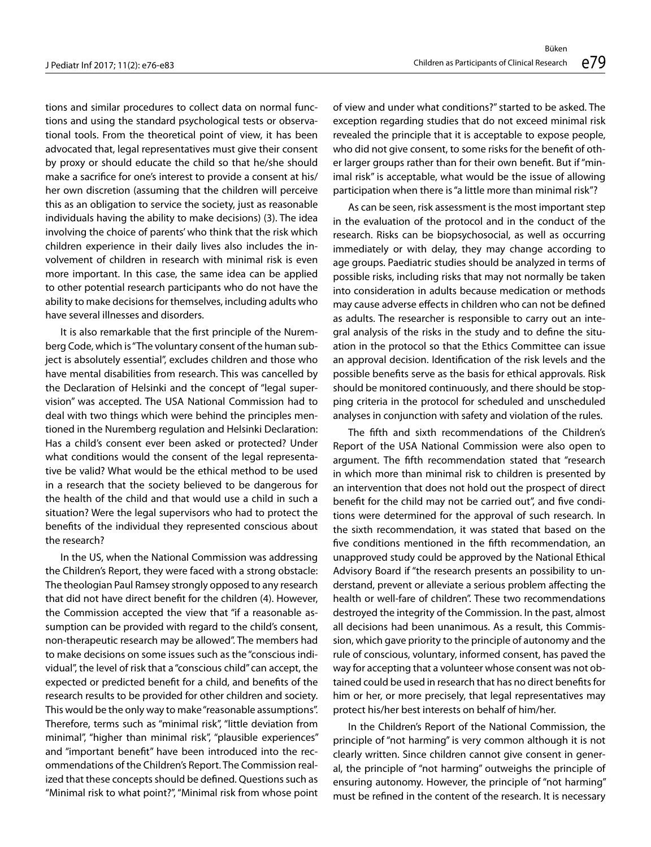tions and similar procedures to collect data on normal functions and using the standard psychological tests or observational tools. From the theoretical point of view, it has been advocated that, legal representatives must give their consent by proxy or should educate the child so that he/she should make a sacrifice for one's interest to provide a consent at his/ her own discretion (assuming that the children will perceive this as an obligation to service the society, just as reasonable individuals having the ability to make decisions) (3). The idea involving the choice of parents' who think that the risk which children experience in their daily lives also includes the involvement of children in research with minimal risk is even more important. In this case, the same idea can be applied to other potential research participants who do not have the ability to make decisions for themselves, including adults who have several illnesses and disorders.

It is also remarkable that the first principle of the Nuremberg Code, which is "The voluntary consent of the human subject is absolutely essential", excludes children and those who have mental disabilities from research. This was cancelled by the Declaration of Helsinki and the concept of "legal supervision" was accepted. The USA National Commission had to deal with two things which were behind the principles mentioned in the Nuremberg regulation and Helsinki Declaration: Has a child's consent ever been asked or protected? Under what conditions would the consent of the legal representative be valid? What would be the ethical method to be used in a research that the society believed to be dangerous for the health of the child and that would use a child in such a situation? Were the legal supervisors who had to protect the benefits of the individual they represented conscious about the research?

In the US, when the National Commission was addressing the Children's Report, they were faced with a strong obstacle: The theologian Paul Ramsey strongly opposed to any research that did not have direct benefit for the children (4). However, the Commission accepted the view that "if a reasonable assumption can be provided with regard to the child's consent, non-therapeutic research may be allowed". The members had to make decisions on some issues such as the "conscious individual", the level of risk that a "conscious child" can accept, the expected or predicted benefit for a child, and benefits of the research results to be provided for other children and society. This would be the only way to make "reasonable assumptions". Therefore, terms such as "minimal risk", "little deviation from minimal", "higher than minimal risk", "plausible experiences" and "important benefit" have been introduced into the recommendations of the Children's Report. The Commission realized that these concepts should be defined. Questions such as "Minimal risk to what point?", "Minimal risk from whose point

of view and under what conditions?" started to be asked. The exception regarding studies that do not exceed minimal risk revealed the principle that it is acceptable to expose people, who did not give consent, to some risks for the benefit of other larger groups rather than for their own benefit. But if "minimal risk" is acceptable, what would be the issue of allowing participation when there is "a little more than minimal risk"?

As can be seen, risk assessment is the most important step in the evaluation of the protocol and in the conduct of the research. Risks can be biopsychosocial, as well as occurring immediately or with delay, they may change according to age groups. Paediatric studies should be analyzed in terms of possible risks, including risks that may not normally be taken into consideration in adults because medication or methods may cause adverse effects in children who can not be defined as adults. The researcher is responsible to carry out an integral analysis of the risks in the study and to define the situation in the protocol so that the Ethics Committee can issue an approval decision. Identification of the risk levels and the possible benefits serve as the basis for ethical approvals. Risk should be monitored continuously, and there should be stopping criteria in the protocol for scheduled and unscheduled analyses in conjunction with safety and violation of the rules.

The fifth and sixth recommendations of the Children's Report of the USA National Commission were also open to argument. The fifth recommendation stated that "research in which more than minimal risk to children is presented by an intervention that does not hold out the prospect of direct benefit for the child may not be carried out", and five conditions were determined for the approval of such research. In the sixth recommendation, it was stated that based on the five conditions mentioned in the fifth recommendation, an unapproved study could be approved by the National Ethical Advisory Board if "the research presents an possibility to understand, prevent or alleviate a serious problem affecting the health or well-fare of children". These two recommendations destroyed the integrity of the Commission. In the past, almost all decisions had been unanimous. As a result, this Commission, which gave priority to the principle of autonomy and the rule of conscious, voluntary, informed consent, has paved the way for accepting that a volunteer whose consent was not obtained could be used in research that has no direct benefits for him or her, or more precisely, that legal representatives may protect his/her best interests on behalf of him/her.

In the Children's Report of the National Commission, the principle of "not harming" is very common although it is not clearly written. Since children cannot give consent in general, the principle of "not harming" outweighs the principle of ensuring autonomy. However, the principle of "not harming" must be refined in the content of the research. It is necessary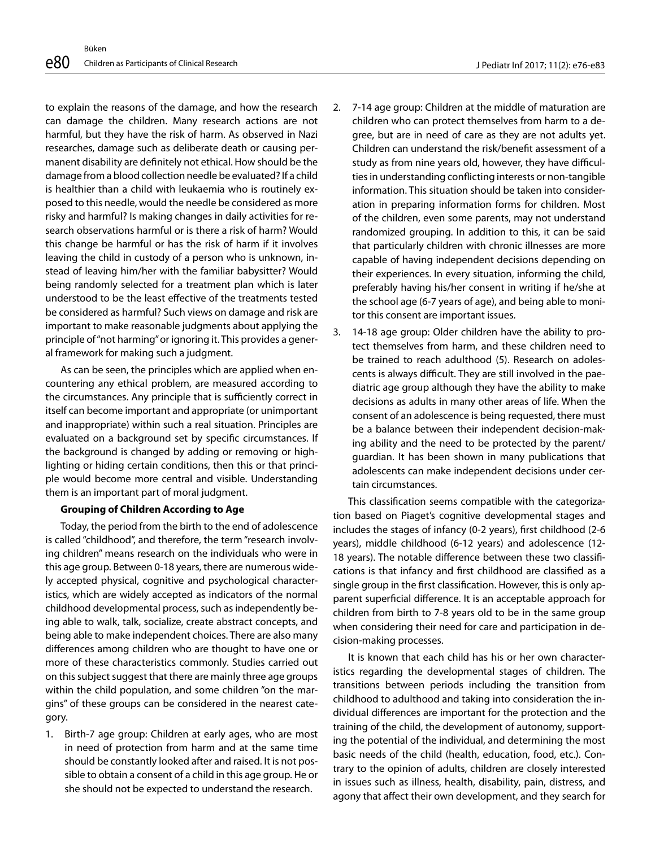to explain the reasons of the damage, and how the research can damage the children. Many research actions are not harmful, but they have the risk of harm. As observed in Nazi researches, damage such as deliberate death or causing permanent disability are definitely not ethical. How should be the damage from a blood collection needle be evaluated? If a child is healthier than a child with leukaemia who is routinely exposed to this needle, would the needle be considered as more risky and harmful? Is making changes in daily activities for research observations harmful or is there a risk of harm? Would this change be harmful or has the risk of harm if it involves leaving the child in custody of a person who is unknown, instead of leaving him/her with the familiar babysitter? Would being randomly selected for a treatment plan which is later understood to be the least effective of the treatments tested be considered as harmful? Such views on damage and risk are important to make reasonable judgments about applying the principle of "not harming" or ignoring it. This provides a general framework for making such a judgment.

As can be seen, the principles which are applied when encountering any ethical problem, are measured according to the circumstances. Any principle that is sufficiently correct in itself can become important and appropriate (or unimportant and inappropriate) within such a real situation. Principles are evaluated on a background set by specific circumstances. If the background is changed by adding or removing or highlighting or hiding certain conditions, then this or that principle would become more central and visible. Understanding them is an important part of moral judgment.

## **Grouping of Children According to Age**

Today, the period from the birth to the end of adolescence is called "childhood", and therefore, the term "research involving children" means research on the individuals who were in this age group. Between 0-18 years, there are numerous widely accepted physical, cognitive and psychological characteristics, which are widely accepted as indicators of the normal childhood developmental process, such as independently being able to walk, talk, socialize, create abstract concepts, and being able to make independent choices. There are also many differences among children who are thought to have one or more of these characteristics commonly. Studies carried out on this subject suggest that there are mainly three age groups within the child population, and some children "on the margins" of these groups can be considered in the nearest category.

1. Birth-7 age group: Children at early ages, who are most in need of protection from harm and at the same time should be constantly looked after and raised. It is not possible to obtain a consent of a child in this age group. He or she should not be expected to understand the research.

- 2. 7-14 age group: Children at the middle of maturation are children who can protect themselves from harm to a degree, but are in need of care as they are not adults yet. Children can understand the risk/benefit assessment of a study as from nine years old, however, they have difficulties in understanding conflicting interests or non-tangible information. This situation should be taken into consideration in preparing information forms for children. Most of the children, even some parents, may not understand randomized grouping. In addition to this, it can be said that particularly children with chronic illnesses are more capable of having independent decisions depending on their experiences. In every situation, informing the child, preferably having his/her consent in writing if he/she at the school age (6-7 years of age), and being able to monitor this consent are important issues.
- 3. 14-18 age group: Older children have the ability to protect themselves from harm, and these children need to be trained to reach adulthood (5). Research on adolescents is always difficult. They are still involved in the paediatric age group although they have the ability to make decisions as adults in many other areas of life. When the consent of an adolescence is being requested, there must be a balance between their independent decision-making ability and the need to be protected by the parent/ guardian. It has been shown in many publications that adolescents can make independent decisions under certain circumstances.

This classification seems compatible with the categorization based on Piaget's cognitive developmental stages and includes the stages of infancy (0-2 years), first childhood (2-6 years), middle childhood (6-12 years) and adolescence (12- 18 years). The notable difference between these two classifications is that infancy and first childhood are classified as a single group in the first classification. However, this is only apparent superficial difference. It is an acceptable approach for children from birth to 7-8 years old to be in the same group when considering their need for care and participation in decision-making processes.

It is known that each child has his or her own characteristics regarding the developmental stages of children. The transitions between periods including the transition from childhood to adulthood and taking into consideration the individual differences are important for the protection and the training of the child, the development of autonomy, supporting the potential of the individual, and determining the most basic needs of the child (health, education, food, etc.). Contrary to the opinion of adults, children are closely interested in issues such as illness, health, disability, pain, distress, and agony that affect their own development, and they search for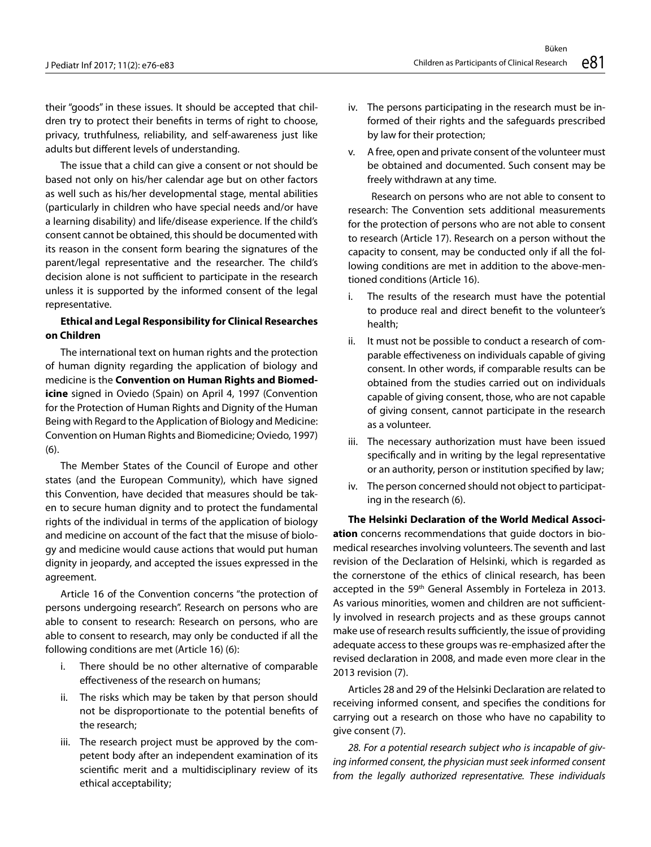their "goods" in these issues. It should be accepted that children try to protect their benefits in terms of right to choose, privacy, truthfulness, reliability, and self-awareness just like adults but different levels of understanding.

The issue that a child can give a consent or not should be based not only on his/her calendar age but on other factors as well such as his/her developmental stage, mental abilities (particularly in children who have special needs and/or have a learning disability) and life/disease experience. If the child's consent cannot be obtained, this should be documented with its reason in the consent form bearing the signatures of the parent/legal representative and the researcher. The child's decision alone is not sufficient to participate in the research unless it is supported by the informed consent of the legal representative.

## **Ethical and Legal Responsibility for Clinical Researches on Children**

The international text on human rights and the protection of human dignity regarding the application of biology and medicine is the **Convention on Human Rights and Biomedicine** signed in Oviedo (Spain) on April 4, 1997 (Convention for the Protection of Human Rights and Dignity of the Human Being with Regard to the Application of Biology and Medicine: Convention on Human Rights and Biomedicine; Oviedo, 1997) (6).

The Member States of the Council of Europe and other states (and the European Community), which have signed this Convention, have decided that measures should be taken to secure human dignity and to protect the fundamental rights of the individual in terms of the application of biology and medicine on account of the fact that the misuse of biology and medicine would cause actions that would put human dignity in jeopardy, and accepted the issues expressed in the agreement.

Article 16 of the Convention concerns "the protection of persons undergoing research". Research on persons who are able to consent to research: Research on persons, who are able to consent to research, may only be conducted if all the following conditions are met (Article 16) (6):

- i. There should be no other alternative of comparable effectiveness of the research on humans;
- ii. The risks which may be taken by that person should not be disproportionate to the potential benefits of the research;
- iii. The research project must be approved by the competent body after an independent examination of its scientific merit and a multidisciplinary review of its ethical acceptability;
- iv. The persons participating in the research must be informed of their rights and the safeguards prescribed by law for their protection;
- v. A free, open and private consent of the volunteer must be obtained and documented. Such consent may be freely withdrawn at any time.

Research on persons who are not able to consent to research: The Convention sets additional measurements for the protection of persons who are not able to consent to research (Article 17). Research on a person without the capacity to consent, may be conducted only if all the following conditions are met in addition to the above-mentioned conditions (Article 16).

- i. The results of the research must have the potential to produce real and direct benefit to the volunteer's health;
- ii. It must not be possible to conduct a research of comparable effectiveness on individuals capable of giving consent. In other words, if comparable results can be obtained from the studies carried out on individuals capable of giving consent, those, who are not capable of giving consent, cannot participate in the research as a volunteer.
- iii. The necessary authorization must have been issued specifically and in writing by the legal representative or an authority, person or institution specified by law;
- iv. The person concerned should not object to participating in the research (6).

**The Helsinki Declaration of the World Medical Association** concerns recommendations that guide doctors in biomedical researches involving volunteers. The seventh and last revision of the Declaration of Helsinki, which is regarded as the cornerstone of the ethics of clinical research, has been accepted in the 59<sup>th</sup> General Assembly in Forteleza in 2013. As various minorities, women and children are not sufficiently involved in research projects and as these groups cannot make use of research results sufficiently, the issue of providing adequate access to these groups was re-emphasized after the revised declaration in 2008, and made even more clear in the 2013 revision (7).

Articles 28 and 29 of the Helsinki Declaration are related to receiving informed consent, and specifies the conditions for carrying out a research on those who have no capability to give consent (7).

*28. For a potential research subject who is incapable of giving informed consent, the physician must seek informed consent from the legally authorized representative. These individuals* 

Büken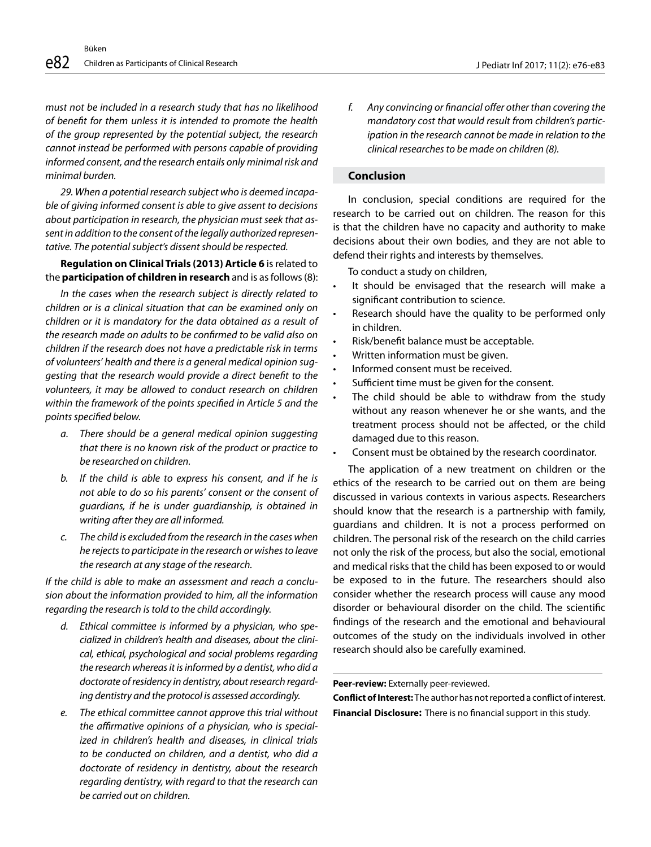*must not be included in a research study that has no likelihood of benefit for them unless it is intended to promote the health of the group represented by the potential subject, the research cannot instead be performed with persons capable of providing informed consent, and the research entails only minimal risk and minimal burden.*

*29. When a potential research subject who is deemed incapable of giving informed consent is able to give assent to decisions about participation in research, the physician must seek that assent in addition to the consent of the legally authorized representative. The potential subject's dissent should be respected.*

**Regulation on Clinical Trials (2013) Article 6** is related to the **participation of children in research** and is as follows (8):

*In the cases when the research subject is directly related to children or is a clinical situation that can be examined only on children or it is mandatory for the data obtained as a result of the research made on adults to be confirmed to be valid also on children if the research does not have a predictable risk in terms of volunteers' health and there is a general medical opinion suggesting that the research would provide a direct benefit to the volunteers, it may be allowed to conduct research on children within the framework of the points specified in Article 5 and the points specified below.*

- *a. There should be a general medical opinion suggesting that there is no known risk of the product or practice to be researched on children.*
- *b. If the child is able to express his consent, and if he is not able to do so his parents' consent or the consent of guardians, if he is under guardianship, is obtained in writing after they are all informed.*
- *c. The child is excluded from the research in the cases when he rejects to participate in the research or wishes to leave the research at any stage of the research.*

*If the child is able to make an assessment and reach a conclusion about the information provided to him, all the information regarding the research is told to the child accordingly.*

- *d. Ethical committee is informed by a physician, who specialized in children's health and diseases, about the clinical, ethical, psychological and social problems regarding the research whereas it is informed by a dentist, who did a doctorate of residency in dentistry, about research regarding dentistry and the protocol is assessed accordingly.*
- *e. The ethical committee cannot approve this trial without the affirmative opinions of a physician, who is specialized in children's health and diseases, in clinical trials to be conducted on children, and a dentist, who did a doctorate of residency in dentistry, about the research regarding dentistry, with regard to that the research can be carried out on children.*

*f. Any convincing or financial offer other than covering the mandatory cost that would result from children's participation in the research cannot be made in relation to the clinical researches to be made on children (8).*

## **Conclusion**

In conclusion, special conditions are required for the research to be carried out on children. The reason for this is that the children have no capacity and authority to make decisions about their own bodies, and they are not able to defend their rights and interests by themselves.

To conduct a study on children,

- It should be envisaged that the research will make a significant contribution to science.
- Research should have the quality to be performed only in children.
- Risk/benefit balance must be acceptable.
- Written information must be given.
- Informed consent must be received.
- Sufficient time must be given for the consent.
- The child should be able to withdraw from the study without any reason whenever he or she wants, and the treatment process should not be affected, or the child damaged due to this reason.
- Consent must be obtained by the research coordinator.

The application of a new treatment on children or the ethics of the research to be carried out on them are being discussed in various contexts in various aspects. Researchers should know that the research is a partnership with family, guardians and children. It is not a process performed on children. The personal risk of the research on the child carries not only the risk of the process, but also the social, emotional and medical risks that the child has been exposed to or would be exposed to in the future. The researchers should also consider whether the research process will cause any mood disorder or behavioural disorder on the child. The scientific findings of the research and the emotional and behavioural outcomes of the study on the individuals involved in other research should also be carefully examined.

**Peer-review:** Externally peer-reviewed.

 $\overline{a}$ 

**Conflict of Interest:** The author has not reported a conflict of interest. **Financial Disclosure:** There is no financial support in this study.